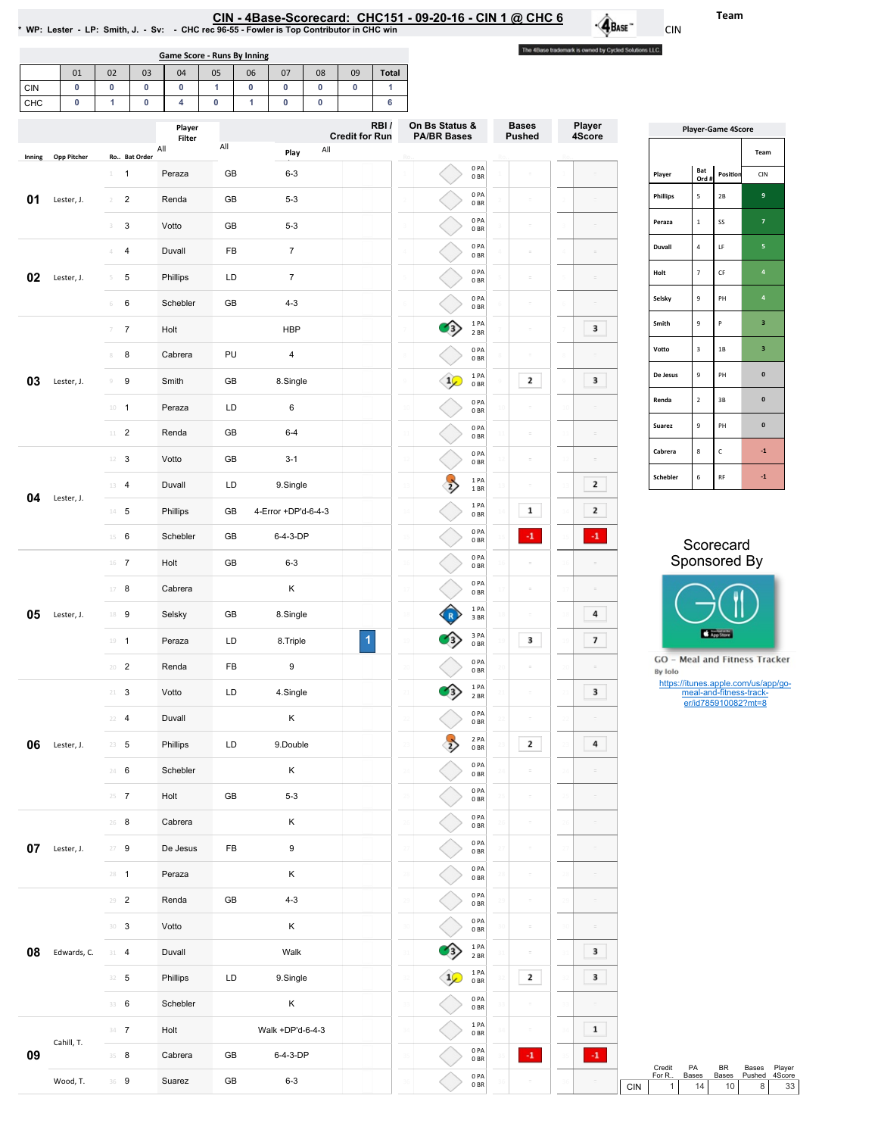# EIN - 4Base-Scorecard: CHC151 - 09-20-16 - CIN 1 @ CHC 6<br>\* WP: Lester - LP: Smith, J. - Sv: - CHC rec 96-55 - Fowler is Top Contributor in CHC win

01 02 03 04 05 06 07 08 09 Total

Game Score - Runs By Inning

The 4Base trademark is owned by Cycled Solutions LLC.

 $\mathbf{\hat{A}}$ Base

| CIN    | $\pmb{0}$   | $\bf{0}$       |                   | $\pmb{0}$    | $\mathbf 0$           | $\mathbf{1}$ | $\mathbf 0$         | 0                   | 0   | $\pmb{0}$             | $\mathbf{1}$ |                                      |                     |                               |                          |                   |                                               |                           |                                     |
|--------|-------------|----------------|-------------------|--------------|-----------------------|--------------|---------------------|---------------------|-----|-----------------------|--------------|--------------------------------------|---------------------|-------------------------------|--------------------------|-------------------|-----------------------------------------------|---------------------------|-------------------------------------|
| CHC    | $\mathbf 0$ | $\mathbf{1}$   |                   | $\pmb{0}$    | 4<br>Player<br>Filter | $\pmb{0}$    | $\mathbf{1}$        | $\pmb{0}$           | 0   | <b>Credit for Run</b> | 6<br>RBI/    | On Bs Status &<br><b>PA/BR Bases</b> |                     | <b>Bases</b><br><b>Pushed</b> | Player<br>4Score         |                   |                                               | <b>Player-Game 4Score</b> |                                     |
| Inning | Opp Pitcher |                |                   | Ro Bat Order | All                   | All          |                     | Play                | All |                       |              |                                      |                     |                               |                          |                   |                                               |                           | Team                                |
|        |             | 1              | $\overline{1}$    |              | Peraza                | GB           |                     | $6 - 3$             |     |                       |              |                                      | 0PA<br>0BR          |                               |                          | Player            | Bat<br>Ord i                                  | Position                  | $\mathsf{C}\mathsf{IN}$             |
| 01     | Lester, J.  | $\overline{2}$ | $\overline{2}$    |              | Renda                 |              | GB                  | $5 - 3$             |     |                       |              |                                      | 0 PA<br>0 BR        |                               |                          | Phillips          | ${\sf 5}$                                     | $2\mathsf{B}$             | 9                                   |
|        |             | $_{3}$ $\,$    | 3                 |              | Votto                 | GB           |                     | $5 - 3$             |     |                       |              |                                      | 0 PA<br>0BR         | $\sim$                        |                          | Peraza            | $\,$ 1                                        | SS                        | $\overline{z}$                      |
|        |             | 4              | $\overline{4}$    |              | Duvall                |              | FB                  | $\overline{7}$      |     |                       |              |                                      | 0 PA<br>0 BR        |                               |                          | Duvall            | $\overline{4}$                                | LF                        | 5                                   |
| 02     | Lester, J.  | 5              | 5                 |              | Phillips              | LD           |                     | $\overline{7}$      |     |                       |              |                                      | 0 PA<br>0BR         | $\sim$                        |                          | Holt              | $\overline{7}$                                | $\mathsf{CF}$             | $\overline{4}$                      |
|        |             | 6              | 6                 |              | Schebler              | GB           |                     | $4 - 3$             |     |                       |              |                                      | 0 PA<br>0 BR        |                               |                          | Selsky            | $\boldsymbol{9}$                              | PH                        | $\overline{4}$                      |
|        |             | $\mathcal{I}$  | $\overline{7}$    |              | Holt                  |              |                     | <b>HBP</b>          |     |                       |              | $\frac{1}{3}$                        | 1 PA<br>2 BR        | $\sim$                        | 3                        | Smith             | $\mathsf g$                                   | P                         | $\mathbf 3$                         |
|        |             | 8              | 8                 |              | Cabrera               |              | PU                  | $\overline{4}$      |     |                       |              |                                      | 0PA<br>0 BR         |                               |                          | Votto             | $\ensuremath{\mathsf{3}}$<br>$\boldsymbol{9}$ | $1\mathsf{B}$<br>PH       | $\mathbf 3$<br>$\pmb{\mathsf{o}}$   |
| 03     | Lester, J.  | $\,9$          | 9                 |              | Smith                 | GB           |                     | 8.Single            |     |                       |              | $\mathcal{L}$                        | 1PA<br>0BR<br>0PA   | 2                             | 3                        | De Jesus<br>Renda | $\mathbf 2$                                   | $3\mathsf{B}$             | $\mathbf 0$                         |
|        |             |                | $10 - 1$          |              | Peraza                | LD           |                     | 6                   |     |                       |              |                                      | 0BR<br>0 PA         |                               |                          | Suarez            | $\boldsymbol{9}$                              | PH                        | $\pmb{0}$                           |
|        |             |                | $11$ 2            |              | Renda                 | GB           |                     | $6 - 4$             |     |                       |              |                                      | 0BR<br>0PA          | $\sim$                        |                          | Cabrera           | $\bf8$                                        | $\mathsf{C}$              | $^{\rm -1}$                         |
|        |             |                | 12 <sup>2</sup>   |              | Votto                 | GB           |                     | $3 - 1$             |     |                       |              |                                      | 0BR<br>1 PA         | $\equiv$                      |                          | Schebler          | $\,$ 6 $\,$                                   | RF                        | $^{\rm -1}$                         |
| 04     | Lester, J.  |                | 13 4              |              | Duvall                | LD           |                     | 9.Single            |     |                       |              | $\frac{1}{2}$                        | 1 BR<br>$1$ PA      |                               | $\mathbf{2}$             |                   |                                               |                           |                                     |
|        |             | $14 - 5$       |                   | Phillips     | GB                    |              | 4-Error +DP'd-6-4-3 |                     |     |                       |              | 0BR<br>0 PA                          | 1<br>$\cdot 1$      | $\mathbf{2}$<br>$-1$          |                          |                   |                                               |                           |                                     |
|        |             |                | $15 \t 6$<br>16 7 |              | Schebler<br>Holt      | GB<br>GB     |                     | 6-4-3-DP<br>$6 - 3$ |     |                       |              |                                      | 0B<br>0PA           |                               |                          |                   |                                               | Scorecard<br>Sponsored By |                                     |
| 05     |             |                | 17 8              |              | Cabrera               |              |                     | Κ                   |     |                       |              |                                      | 0BR<br>0PA          |                               |                          |                   |                                               |                           |                                     |
|        | Lester, J.  |                | 18 9              |              | Selsky                |              | GB                  | 8.Single            |     |                       |              | R                                    | 0 BR<br>1 PA        |                               | 4                        |                   |                                               |                           |                                     |
|        |             |                | $19 - 1$          |              | Peraza                | LD           |                     | 8.Triple            |     |                       | 1            | $\rightarrow$                        | 3 BR<br>3 PA<br>0BR | 3                             | $\overline{\phantom{a}}$ |                   |                                               | App Store                 |                                     |
|        |             |                | $20 - 2$          |              | Renda                 |              | FB                  | 9                   |     |                       |              |                                      | 0 PA<br>0BR         |                               |                          | By Iolo           |                                               |                           | GO - Meal and Fitness Tracker       |
|        |             |                | $21 - 3$          |              | Votto                 | LD           |                     | 4.Single            |     |                       |              | $\mathbf{G}$                         | 1 PA<br>2 BR        |                               | 3                        |                   |                                               | meal-and-fitness-track-   | https://itunes.apple.com/us/app/go- |
|        |             |                | $22 - 4$          |              | Duvall                |              |                     | Κ                   |     |                       |              |                                      | 0 PA<br>0 BR        |                               |                          |                   |                                               | er/id785910082?mt=8       |                                     |
| 06     | Lester, J.  |                | $23 - 5$          |              | Phillips              |              | LD                  | 9.Double            |     |                       |              | $\rightarrow$                        | 2 PA<br>0 BR        | $\mathbf{2}$                  | 4                        |                   |                                               |                           |                                     |
|        |             |                | 24 6              |              | Schebler              |              |                     | Κ                   |     |                       |              |                                      | 0PA<br>0BR          |                               |                          |                   |                                               |                           |                                     |
|        |             |                | $25 \t{7}$        |              | Holt                  | GB           |                     | $5 - 3$             |     |                       |              |                                      | 0 PA<br>0BR         | $\equiv$                      |                          |                   |                                               |                           |                                     |
|        |             |                | $26$ 8            |              | Cabrera               |              |                     | Κ                   |     |                       |              |                                      | 0PA<br>0B           | $\sim$                        |                          |                   |                                               |                           |                                     |
| 07     | Lester, J.  |                | $27 - 9$          |              | De Jesus              |              | FB                  | 9                   |     |                       |              |                                      | 0 PA<br>0BR         | $\equiv$                      |                          |                   |                                               |                           |                                     |
|        |             |                | $28 - 1$          |              | Peraza                |              |                     | Κ                   |     |                       |              |                                      | 0PA<br>0B           | $\sim$                        |                          |                   |                                               |                           |                                     |
|        |             |                | $29 - 2$          |              | Renda                 |              | GB                  | $4 - 3$             |     |                       |              |                                      | 0PA<br>0B           |                               |                          |                   |                                               |                           |                                     |
|        |             |                | $30-3$            |              | Votto                 |              |                     | Κ                   |     |                       |              |                                      | $0$ PA<br>0BR       | $\equiv$                      |                          |                   |                                               |                           |                                     |
| 08     | Edwards, C. | $31 - 4$       |                   |              | Duvall                |              |                     | Walk                |     |                       |              | 份                                    | 1 PA<br>2 BR        |                               | 3                        |                   |                                               |                           |                                     |
|        |             |                | $32 - 5$          |              | Phillips              |              | LD                  | 9.Single            |     |                       |              | $\frac{1}{2}$                        | 1 PA<br>0 BR        | $\mathbf{2}$                  | $\mathbf{3}$             |                   |                                               |                           |                                     |
|        |             |                | 33 6              |              | Schebler              |              |                     | Κ                   |     |                       |              |                                      | 0PA<br>0 B R        |                               |                          |                   |                                               |                           |                                     |
|        | Cahill, T.  |                | $34 - 7$          |              | Holt                  |              |                     | Walk +DP'd-6-4-3    |     |                       |              |                                      | 1 PA<br>0B          |                               | $\mathbf 1$              |                   |                                               |                           |                                     |
| 09     |             |                | $35 - 8$          |              | Cabrera               | GB           |                     | 6-4-3-DP            |     |                       |              |                                      | 0PA<br>0 B R        | $\cdot 1$                     | $\cdot\mathbf{1}$        | Credit<br>For R   | PA<br>Bases                                   | BR<br>Bases               | Player<br>Bases<br>Pushed<br>4Score |
|        | Wood, T.    |                | $36 - 9$          |              | Suarez                |              | GB                  | $6 - 3$             |     |                       |              |                                      | 0 PA<br>0 B R       |                               |                          | <b>CIN</b>        | 14                                            | 10                        | $\,8\,$                             |

| <b>Player-Game 4Score</b> |                |           |                |  |  |  |  |  |  |  |
|---------------------------|----------------|-----------|----------------|--|--|--|--|--|--|--|
|                           |                |           | Team           |  |  |  |  |  |  |  |
| Player                    | Bat<br>Ord#    | Position  | <b>CIN</b>     |  |  |  |  |  |  |  |
| <b>Phillips</b>           | 5              | 2B        | 9              |  |  |  |  |  |  |  |
| Peraza                    | $\mathbf{1}$   | SS        | $\overline{z}$ |  |  |  |  |  |  |  |
| Duvall                    | $\overline{4}$ | LF        | 5              |  |  |  |  |  |  |  |
| Holt                      | 7              | CF        | 4              |  |  |  |  |  |  |  |
| Selsky                    | 9              | PH        | 4              |  |  |  |  |  |  |  |
| Smith                     | 9              | P         | 3              |  |  |  |  |  |  |  |
| Votto                     | 3              | 1B        | 3              |  |  |  |  |  |  |  |
| De Jesus                  | 9              | PH        | $\mathbf{0}$   |  |  |  |  |  |  |  |
| Renda                     | $\overline{2}$ | 3B        | $\mathbf{0}$   |  |  |  |  |  |  |  |
| Suarez                    | 9              | PH        | $\mathbf{0}$   |  |  |  |  |  |  |  |
| Cabrera                   | 8              | C         | $-1$           |  |  |  |  |  |  |  |
| Schebler                  | 6              | <b>RF</b> | $-1$           |  |  |  |  |  |  |  |

### Scorecard Sponsored By



Team

CIN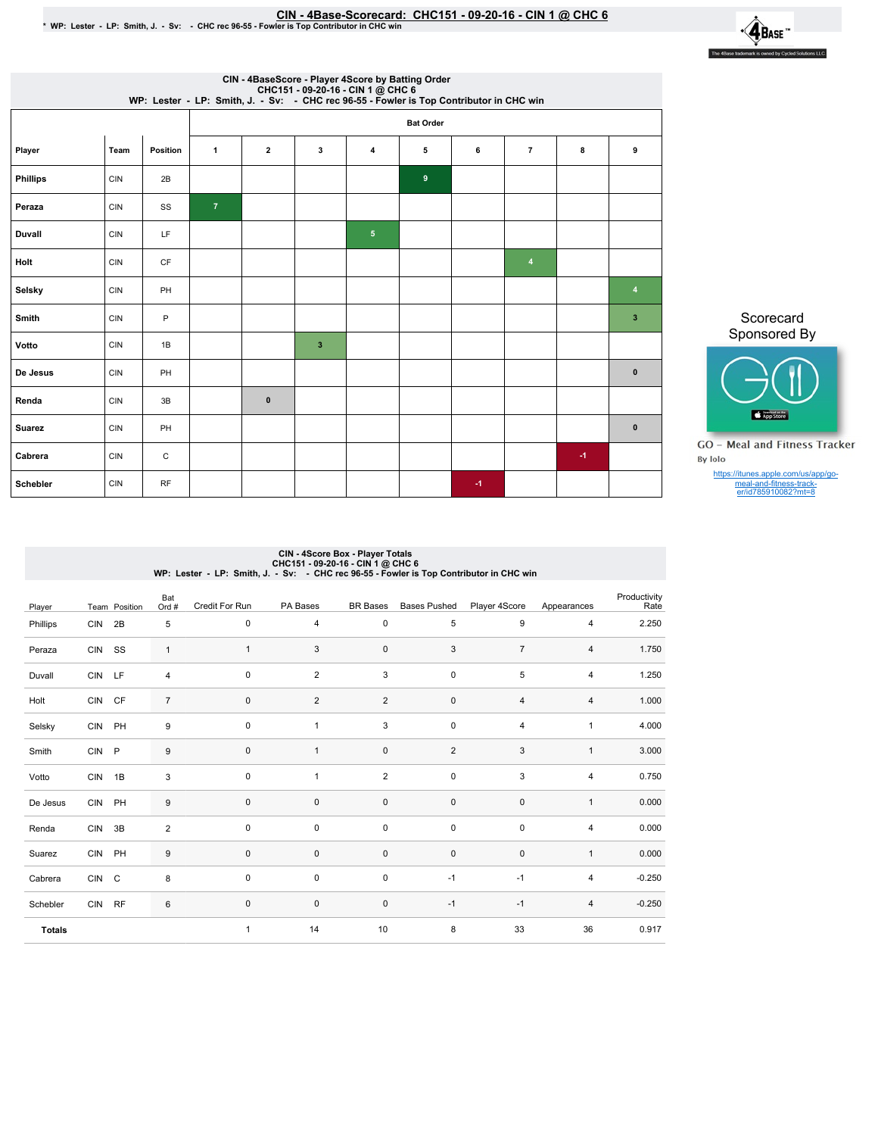# \* WP: Lester - LP: Smith, J. - Sv: - CHC rec 96-55 - Fowler is Top Contributor in CHC win<br>\* WP: Lester - LP: Smith, J. - Sv: - CHC rec 96-55 - Fowler is Top Contributor in CHC win

 $\cdot \mathbf{Q}_{\text{Base}}$ The 4Base trademark is owned by Cycled Solutions LLC.

|                 | CIN - 4BaseScore - Player 4Score by Batting Order<br>CHC151 - 09-20-16 - CIN 1 @ CHC 6<br>WP: Lester - LP: Smith, J. - Sv: - CHC rec 96-55 - Fowler is Top Contributor in CHC win |              |                |                         |                         |                 |                  |      |                         |      |                |  |  |  |
|-----------------|-----------------------------------------------------------------------------------------------------------------------------------------------------------------------------------|--------------|----------------|-------------------------|-------------------------|-----------------|------------------|------|-------------------------|------|----------------|--|--|--|
|                 |                                                                                                                                                                                   |              |                | <b>Bat Order</b>        |                         |                 |                  |      |                         |      |                |  |  |  |
| Player          | Team                                                                                                                                                                              | Position     | $\mathbf{1}$   | $\overline{\mathbf{2}}$ | 3                       | $\overline{4}$  | 5                | 6    | $\overline{7}$          | 8    | 9              |  |  |  |
| <b>Phillips</b> | <b>CIN</b>                                                                                                                                                                        | 2B           |                |                         |                         |                 | $\boldsymbol{9}$ |      |                         |      |                |  |  |  |
| Peraza          | <b>CIN</b>                                                                                                                                                                        | SS           | $\overline{7}$ |                         |                         |                 |                  |      |                         |      |                |  |  |  |
| <b>Duvall</b>   | <b>CIN</b>                                                                                                                                                                        | LF           |                |                         |                         | $5\phantom{.0}$ |                  |      |                         |      |                |  |  |  |
| Holt            | <b>CIN</b>                                                                                                                                                                        | <b>CF</b>    |                |                         |                         |                 |                  |      | $\overline{\mathbf{4}}$ |      |                |  |  |  |
| Selsky          | <b>CIN</b>                                                                                                                                                                        | PH           |                |                         |                         |                 |                  |      |                         |      | $\overline{4}$ |  |  |  |
| Smith           | <b>CIN</b>                                                                                                                                                                        | P            |                |                         |                         |                 |                  |      |                         |      | $\mathbf{3}$   |  |  |  |
| Votto           | <b>CIN</b>                                                                                                                                                                        | 1B           |                |                         | $\overline{\mathbf{3}}$ |                 |                  |      |                         |      |                |  |  |  |
| De Jesus        | <b>CIN</b>                                                                                                                                                                        | PH           |                |                         |                         |                 |                  |      |                         |      | $\bf{0}$       |  |  |  |
| Renda           | <b>CIN</b>                                                                                                                                                                        | 3B           |                | $\bf{0}$                |                         |                 |                  |      |                         |      |                |  |  |  |
| <b>Suarez</b>   | <b>CIN</b>                                                                                                                                                                        | PH           |                |                         |                         |                 |                  |      |                         |      | $\pmb{0}$      |  |  |  |
| Cabrera         | <b>CIN</b>                                                                                                                                                                        | $\mathsf{C}$ |                |                         |                         |                 |                  |      |                         | $-1$ |                |  |  |  |
| Schebler        | <b>CIN</b>                                                                                                                                                                        | <b>RF</b>    |                |                         |                         |                 |                  | $-1$ |                         |      |                |  |  |  |





**GO** - Meal and Fitness Tracker By Iolo



# CIN - 4Score Box - Player Totals<br>CHC151 - 09-20-16 - CHC (@ CHR 109 - 2000<br>WP: Lester - LP: Smith, J. - Sv: - CHC rec 96-55 - Fowler is Top Contributor in CHC win

| Player        |            | Team Position | Bat<br>Ord #     | Credit For Run | PA Bases                | <b>BR</b> Bases | <b>Bases Pushed</b> | Player 4Score  | Appearances    | Productivity<br>Rate |
|---------------|------------|---------------|------------------|----------------|-------------------------|-----------------|---------------------|----------------|----------------|----------------------|
| Phillips      | <b>CIN</b> | 2B            | 5                | $\pmb{0}$      | 4                       | $\pmb{0}$       | 5                   | 9              | 4              | 2.250                |
| Peraza        | CIN SS     |               | $\mathbf{1}$     | $\mathbf{1}$   | 3                       | $\pmb{0}$       | 3                   | $\overline{7}$ | $\overline{4}$ | 1.750                |
| Duvall        | CIN LF     |               | 4                | $\pmb{0}$      | $\overline{2}$          | 3               | $\pmb{0}$           | 5              | 4              | 1.250                |
| Holt          | CIN CF     |               | $\overline{7}$   | $\pmb{0}$      | $\overline{\mathbf{c}}$ | $\overline{2}$  | $\pmb{0}$           | 4              | 4              | 1.000                |
| Selsky        | CIN        | PH            | 9                | $\mathbf 0$    | $\mathbf{1}$            | 3               | 0                   | 4              | $\mathbf{1}$   | 4.000                |
| Smith         | CIN P      |               | 9                | 0              | 1                       | $\pmb{0}$       | $\overline{2}$      | 3              | $\mathbf{1}$   | 3.000                |
| Votto         | <b>CIN</b> | 1B            | 3                | 0              | 1                       | $\overline{2}$  | 0                   | 3              | 4              | 0.750                |
| De Jesus      | CIN PH     |               | 9                | 0              | $\mathbf 0$             | $\pmb{0}$       | $\pmb{0}$           | $\pmb{0}$      | $\mathbf{1}$   | 0.000                |
| Renda         | <b>CIN</b> | 3B            | $\overline{2}$   | $\pmb{0}$      | $\pmb{0}$               | $\pmb{0}$       | 0                   | $\pmb{0}$      | 4              | 0.000                |
| Suarez        | CIN PH     |               | $\boldsymbol{9}$ | $\pmb{0}$      | $\mathbf 0$             | $\pmb{0}$       | $\pmb{0}$           | $\pmb{0}$      | $\mathbf{1}$   | 0.000                |
| Cabrera       | CIN C      |               | 8                | 0              | 0                       | $\pmb{0}$       | $-1$                | $-1$           | 4              | $-0.250$             |
| Schebler      | <b>CIN</b> | <b>RF</b>     | 6                | $\mathbf 0$    | $\pmb{0}$               | $\pmb{0}$       | $-1$                | $-1$           | $\overline{4}$ | $-0.250$             |
| <b>Totals</b> |            |               |                  | $\mathbf{1}$   | 14                      | 10              | 8                   | 33             | 36             | 0.917                |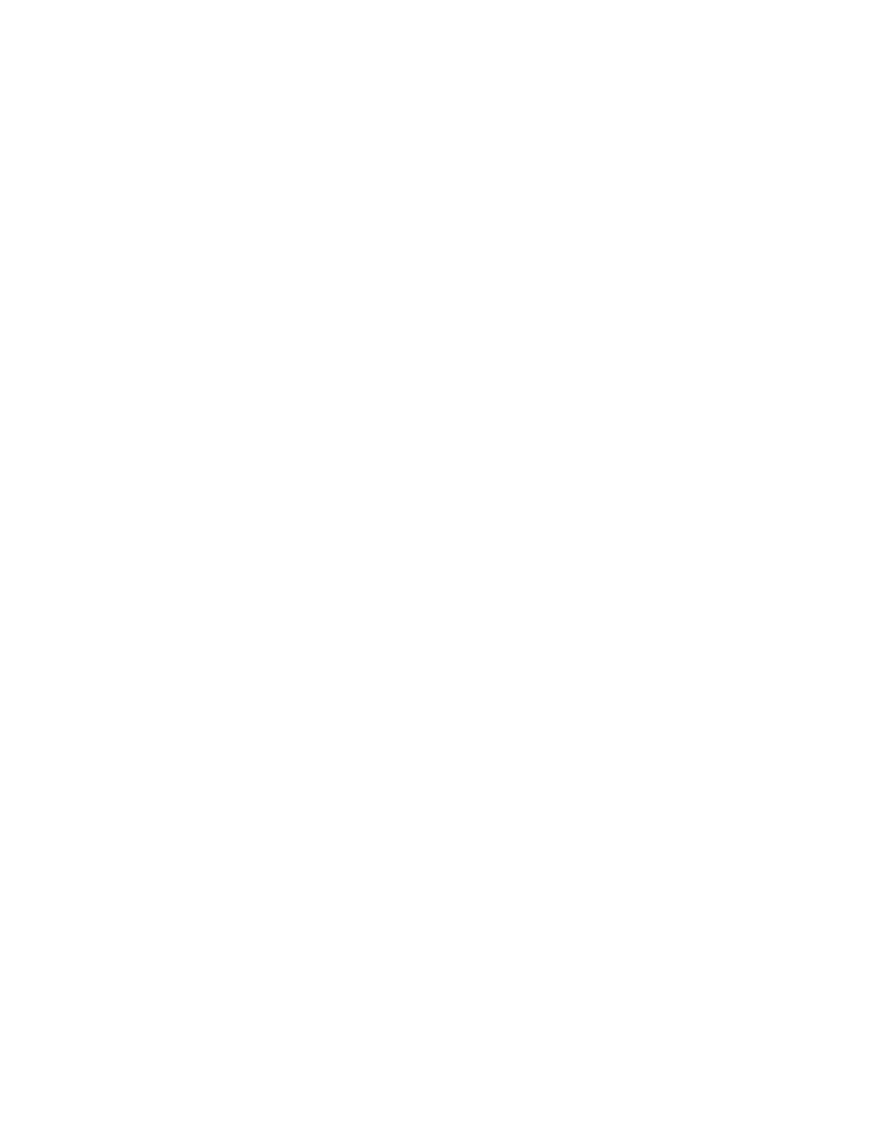|  |  |  | $: 3$ /HWMHU /3 6PLWK - 6Y |  |  |  | $8 + 81$ |
|--|--|--|----------------------------|--|--|--|----------|
|--|--|--|----------------------------|--|--|--|----------|

 $\underbrace{8,1 \quad \%DM16FRUFDG \quad 8+8}_{0}$ <br>  $\overline{8,1 \quad \%DM16FRUFEG}$ 

 $8,1$  #  $8+8$ 

|                  |      |                  |           |  |  | &,1 %DVH6FRUH 300 HU 6FRUHE\%DWMQJ2 UGHU |  |  |  |  |  |
|------------------|------|------------------|-----------|--|--|------------------------------------------|--|--|--|--|--|
|                  |      |                  |           |  |  |                                          |  |  |  |  |  |
|                  |      |                  | %DW2 UGHU |  |  |                                          |  |  |  |  |  |
| 300 HU           | 7HDP | 3 RVIMRQ         |           |  |  |                                          |  |  |  |  |  |
| 3KLODSV          | 8,1  | $\%$             |           |  |  |                                          |  |  |  |  |  |
| 3HUD D           | 8,1  | 66               |           |  |  |                                          |  |  |  |  |  |
| ' XYDO           | 8,1  | $\left( \right)$ |           |  |  |                                          |  |  |  |  |  |
| $+$ ROV          | 8,1  | &)               |           |  |  |                                          |  |  |  |  |  |
| 6HOW             | 8,1  | $3+$             |           |  |  |                                          |  |  |  |  |  |
| 6PLMK            | 8,1  | 3                |           |  |  |                                          |  |  |  |  |  |
| 9RW <sub>R</sub> | 8,1  | $\%$             |           |  |  |                                          |  |  |  |  |  |
| ' H-HVXV         | 8,1  | $3+$             |           |  |  |                                          |  |  |  |  |  |
| 5 HQGD           | 8,1  | $\%$             |           |  |  |                                          |  |  |  |  |  |
| 6XDUH            | 8,1  | $3+$             |           |  |  |                                          |  |  |  |  |  |
| &DEUHLD          | 8,1  | &                |           |  |  |                                          |  |  |  |  |  |
| 6FKHEOHU         | 8,1  | 5)               |           |  |  |                                          |  |  |  |  |  |



<u>KWOSV WACHVDSSON FRP XVDSSJR</u><br>PHOCOGGILMOHAVWODFN<br><u>HULG "PW</u>

|                   |                |              |                   | : 3 / HMMHU / 3 6 P LMK - 6 Y & + & UHF ) RZOHULV 7 RS & ROWLEXWRULQ & + & ZLQ | 8,1 6 FRUH%R[ 300\HU7RW20V<br>$8 + 8$ | $8,1$ # $8+8$ |  |                    |
|-------------------|----------------|--------------|-------------------|--------------------------------------------------------------------------------|---------------------------------------|---------------|--|--------------------|
| 30MHU             |                | 7HDP 3RVMMRQ | %DW<br>$2 \cup 5$ | & UHGLV) RUSXQ 3\$%DVHV %6%DVHV %DVHV3XVKHG 3001HU 6FRUH \$SSHDUDGFHV          |                                       |               |  | 3 URGXFWYUW<br>5DM |
| 3 KLODSV          |                | &.1 %        |                   |                                                                                |                                       |               |  |                    |
| 3HUD D            | 8.1 66         |              |                   |                                                                                |                                       |               |  |                    |
| ' XYDO            | $8,1$ ()       |              |                   |                                                                                |                                       |               |  |                    |
| $+$ ROW           | $8,1$ $8)$     |              |                   |                                                                                |                                       |               |  |                    |
| 6HON              | $8.1 \quad 3+$ |              |                   |                                                                                |                                       |               |  |                    |
| 6PLWK             | $8,1$ 3        |              |                   |                                                                                |                                       |               |  |                    |
| 9 RWR             |                | 8.1 %        |                   |                                                                                |                                       |               |  |                    |
| 'H-HVXV           | $8,1$ $3+$     |              |                   |                                                                                |                                       |               |  |                    |
| 5 HOGD            |                | &.1 %        |                   |                                                                                |                                       |               |  |                    |
| HUCK <sub>6</sub> | $8.1 \quad 3+$ |              |                   |                                                                                |                                       |               |  |                    |
| & DEUHUD          | & 1 &          |              |                   |                                                                                |                                       |               |  |                    |
| 6 FKHEOHU         | $8,1$ 5)       |              |                   |                                                                                |                                       |               |  |                    |
| 7RWDOV            |                |              |                   |                                                                                |                                       |               |  |                    |
|                   |                |              |                   |                                                                                |                                       |               |  |                    |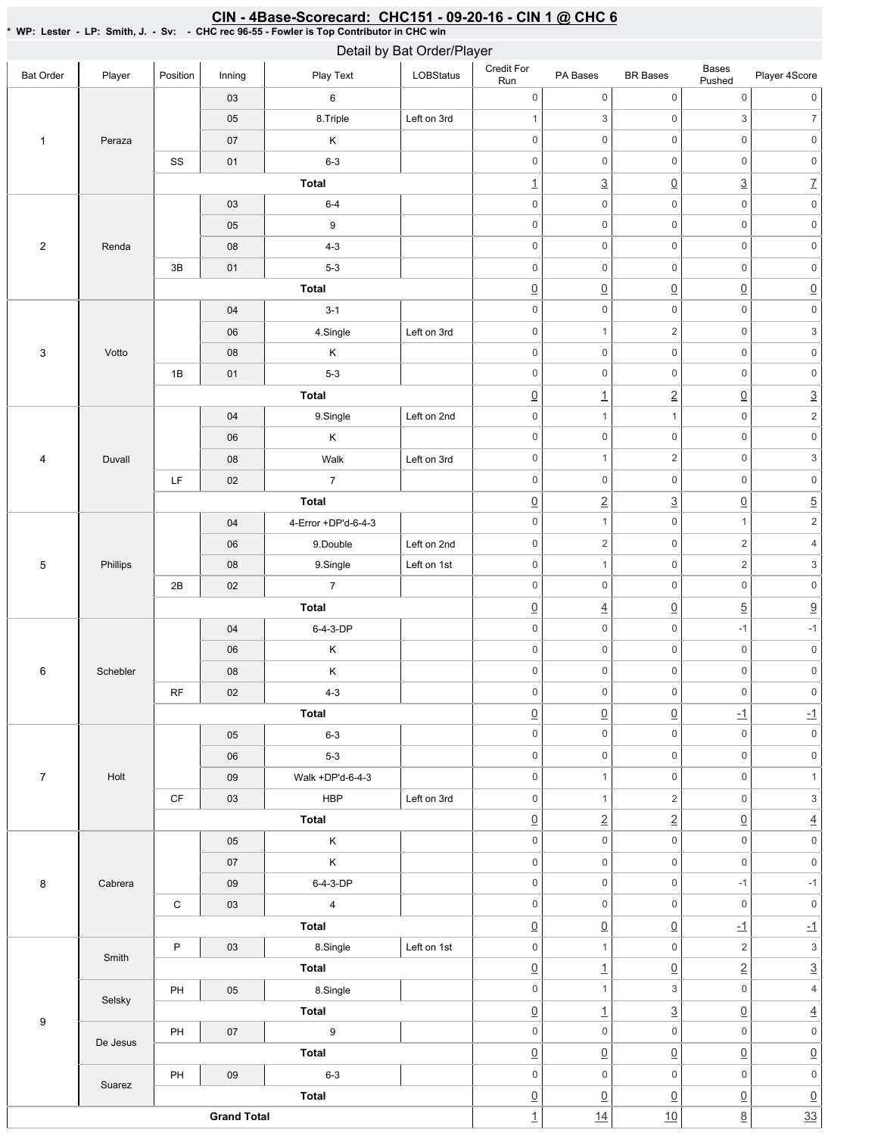#### Bat Order | Player | Position | Inning | Play Text | LOBStatus Credit For Run PA Bases BR Bases Bases Pushed Player 4Score 1 Peraza 03 6 05 8.Triple | Left on 3rd 07 K SS 01 6-3 Total 2 Renda 03 6-4 05 9 08 4-3 3B 01 5-3 Total 3 Votto 04 3-1 06 | 4.Single | Left on 3rd 08 K 1B 01 5-3 Total 4 Duvall 04 9.Single Left on 2nd 06 K 08 | Walk Left on 3rd LF 02 7 Total 5 Phillips 04 4-Error +DP'd-6-4-3 06 | 9.Double | Left on 2nd 08 9.Single Left on 1st 2B 02 7 Total 6 Schebler 04 6-4-3-DP 06 K 08 K RF 02 4-3 Total 7 Holt 05 6-3 06 5-3 09 Walk +DP'd-6-4-3 CF 03 | HBP Left on 3rd Total 8 Cabrera 05 K 07 K 09 6-4-3-DP C 03 4 Total 9 Smith P 03 8.Single Left on 1st Total Selsky PH 05 8.Single Total De Jesus PH 07 07 9 Total Suarez PH 09 6-3 Total **Grand Total** 0 0 0 0 0 1 3 0 3 7 0 0 0 0 0 0 0 0 0 0 1 3 0 3 7 0 0 0 0 0 0 0 0 0 0 0 0 0 0 0 0 0 0 0 0  $\overline{0}$   $\overline{0}$   $\overline{0}$   $\overline{0}$   $\overline{0}$   $\overline{0}$   $\overline{0}$ 0 0 0 0 0 0 0 1 2 0 3 0 0 0 0 0 0 0 0 0 0 0 1 2 0 3 0 1 1 0 2 0 0 0 0 0 0 1 2 0 3 0 0 0 0 0 0 2 3 0 5 0 1 0 1 2 0 2 0 2 4 0 1 0 2 3 0 0 0 0 0 0 4 0 5 9 0 0 -1 -1 0 0 0 0 0 0 0 0 0 0 0 0 0 0 0  $\Omega$   $\Omega$   $\Omega$   $\Omega$   $\Omega$   $\Omega$   $\Omega$   $\Omega$ 0 0 0 0 0 0 0 0 0 0 0 0 1 0 1 2 0 3 0 2 2 0 4 0 0 0 0 0 0 0 0 0 0 0 0 -1 -1 0 0 0 0 0  $\Omega$   $\Omega$   $\Omega$   $\Omega$   $\Omega$   $\Omega$   $\Omega$   $\Omega$ 0 1 0 2 3  $\boxed{0}$   $\boxed{1}$   $\boxed{0}$   $\boxed{2}$   $\boxed{3}$ 0 1 3 0 4 0 1 3 0 4 0 0 0 0 0  $\overline{0}$   $\overline{0}$   $\overline{0}$   $\overline{0}$   $\overline{0}$   $\overline{0}$   $\overline{0}$ 0 0 0 0 0  $\overline{0}$   $\overline{0}$   $\overline{0}$   $\overline{0}$   $\overline{0}$   $\overline{0}$   $\overline{0}$ 1 14 10 8 33 Detail by Bat Order/Player

## <u>CIN - 4Base-Scorecard: CHC151 - 09-20-16 - CIN 1 @ CHC 6</u>

\*WP:Lester-LP:Smith,J.-Sv: -CHCrec96-55-FowlerisTopContributorinCHCwin